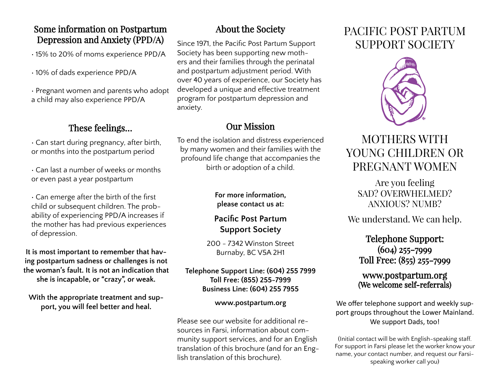## Some information on Postpartum Depression and Anxiety (PPD/A)

• 15% to 20% of moms experience PPD/A

• 10% of dads experience PPD/A

• Pregnant women and parents who adopt a child may also experience PPD/A

## These feelings…

• Can start during pregnancy, after birth, or months into the postpartum period

• Can last a number of weeks or months or even past a year postpartum

• Can emerge after the birth of the first child or subsequent children. The probability of experiencing PPD/A increases if the mother has had previous experiences of depression.

**It is most important to remember that having postpartum sadness or challenges is not the woman's fault. It is not an indication that she is incapable, or "crazy", or weak.**

**With the appropriate treatment and support, you will feel better and heal.**

## About the Society

Since 1971, the Pacific Post Partum Support Society has been supporting new mothers and their families through the perinatal and postpartum adjustment period. With over 40 years of experience, our Society has developed a unique and effective treatment program for postpartum depression and anxiety.

## Our Mission

To end the isolation and distress experienced by many women and their families with the profound life change that accompanies the birth or adoption of a child.

### **For more information, please contact us at:**

## **Pacific Post Partum Support Society**

200 - 7342 Winston Street Burnaby, BC V5A 2H1

#### **Telephone Support Line: (604) 255 7999 Toll Free: (855) 255-7999 Business Line: (604) 255 7955**

#### **www.postpartum.org**

Please see our website for additional resources in Farsi, information about community support services, and for an English translation of this brochure (and for an English translation of this brochure).

# PACIFIC POST PARTUM SUPPORT SOCIETY



# MOTHERS WITH YOUNG CHILDREN OR PREGNANT WOMEN

Are you feeling SAD? OVERWHELMED? ANXIOUS? NUMB?

We understand. We can help.

Telephone Support: (604) 255-7999 Toll Free: (855) 255-7999

### www.postpartum.org (We welcome self-referrals)

We offer telephone support and weekly support groups throughout the Lower Mainland. We support Dads, too!

(Initial contact will be with English-speaking staff. For support in Farsi please let the worker know your name, your contact number, and request our Farsispeaking worker call you)